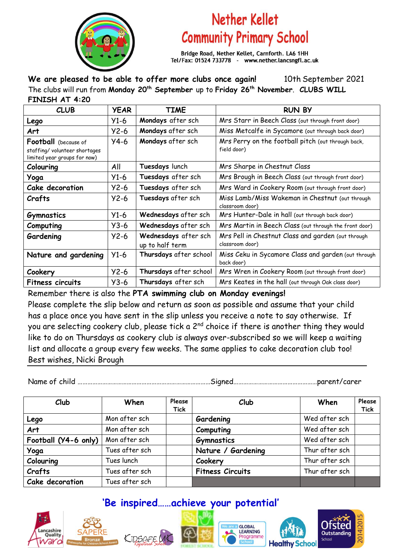

## Nether Kellet **Community Primary School**

Bridge Road, Nether Kellet, Carnforth. LA6 1HH Tel/Fax: 01524 733778 - www.nether.lancsngfl.ac.uk

**We are pleased to be able to offer more clubs once again!** 10th September 2021 The clubs will run from **Monday 20th September** up to **Friday 26th November**. **CLUBS WILL FINISH AT 4:20**

| <b>CLUB</b>                                                                                  | <b>YEAR</b> | <b>TIME</b>                             | <b>RUN BY</b>                                                         |  |
|----------------------------------------------------------------------------------------------|-------------|-----------------------------------------|-----------------------------------------------------------------------|--|
| Lego                                                                                         | $Y1-6$      | Mondays after sch                       | Mrs Starr in Beech Class (out through front door)                     |  |
| Art                                                                                          | $Y2-6$      | Mondays after sch                       | Miss Metcalfe in Sycamore (out through back door)                     |  |
| <b>Football</b> (because of<br>staffing/ volunteer shortages<br>limited year groups for now) | $Y4-6$      | Mondays after sch                       | Mrs Perry on the football pitch (out through back,<br>field door)     |  |
| Colouring                                                                                    | All         | Tuesdays lunch                          | Mrs Sharpe in Chestnut Class                                          |  |
| Yoga                                                                                         | $Y1-6$      | Tuesdays after sch                      | Mrs Brough in Beech Class (out through front door)                    |  |
| Cake decoration                                                                              | $Y2-6$      | Tuesdays after sch                      | Mrs Ward in Cookery Room (out through front door)                     |  |
| Crafts                                                                                       | $Y2-6$      | Tuesdays after sch                      | Miss Lamb/Miss Wakeman in Chestnut (out through<br>classroom door)    |  |
| <b>Gymnastics</b>                                                                            | $Y1-6$      | Wednesdays after sch                    | Mrs Hunter-Dale in hall (out through back door)                       |  |
| Computing                                                                                    | $Y3-6$      | Wednesdays after sch                    | Mrs Martin in Beech Class (out through the front door)                |  |
| Gardening                                                                                    | $Y2-6$      | Wednesdays after sch<br>up to half term | Mrs Pell in Chestnut Class and garden (out through<br>classroom door) |  |
| Nature and gardening                                                                         | $Y1-6$      | Thursdays after school                  | Miss Ceku in Sycamore Class and garden (out through<br>back door)     |  |
| Cookery                                                                                      | $Y2-6$      | Thursdays after school                  | Mrs Wren in Cookery Room (out through front door)                     |  |
| <b>Fitness circuits</b>                                                                      | $Y3-6$      | Thursdays after sch                     | Mrs Keates in the hall (out through Oak class door)                   |  |

Remember there is also the **PTA swimming club on Monday evenings!** Please complete the slip below and return as soon as possible and assume that your child has a place once you have sent in the slip unless you receive a note to say otherwise. If you are selecting cookery club, please tick a 2<sup>nd</sup> choice if there is another thing they would like to do on Thursdays as cookery club is always over-subscribed so we will keep a waiting list and allocate a group every few weeks. The same applies to cake decoration club too! Best wishes, Nicki Brough

Name of child ………………………………………………………………………Signed……………………………………………parent/carer

| Club                 | When           | Please<br><b>Tick</b> | Club                    | When           | Please<br><b>Tick</b> |
|----------------------|----------------|-----------------------|-------------------------|----------------|-----------------------|
| Lego                 | Mon after sch  |                       | Gardening               | Wed after sch  |                       |
| Art                  | Mon after sch  |                       | Computing               | Wed after sch  |                       |
| Football (Y4-6 only) | Mon after sch  |                       | <b>Gymnastics</b>       | Wed after sch  |                       |
| Yoga                 | Tues after sch |                       | Nature / Gardening      | Thur after sch |                       |
| Colouring            | Tues lunch     |                       | Cookery                 | Thur after sch |                       |
| Crafts               | Tues after sch |                       | <b>Fitness Circuits</b> | Thur after sch |                       |
| Cake decoration      | Tues after sch |                       |                         |                |                       |

## **'Be inspired……achieve your potential'**